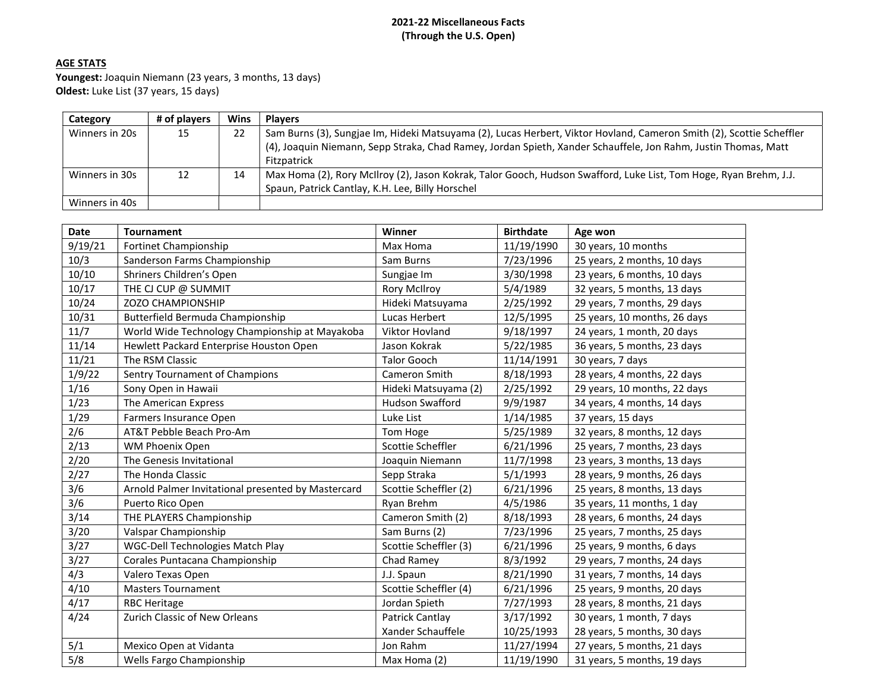## 2021-22 Miscellaneous Facts (Through the U.S. Open)

# AGE STATS

Youngest: Joaquin Niemann (23 years, 3 months, 13 days) Oldest: Luke List (37 years, 15 days)

| Category       | # of plavers | Wins | <b>Players</b>                                                                                                       |
|----------------|--------------|------|----------------------------------------------------------------------------------------------------------------------|
| Winners in 20s | 15           | 22   | Sam Burns (3), Sungjae Im, Hideki Matsuyama (2), Lucas Herbert, Viktor Hovland, Cameron Smith (2), Scottie Scheffler |
|                |              |      | (4), Joaquin Niemann, Sepp Straka, Chad Ramey, Jordan Spieth, Xander Schauffele, Jon Rahm, Justin Thomas, Matt       |
|                |              |      | Fitzpatrick                                                                                                          |
| Winners in 30s | 12           | 14   | Max Homa (2), Rory McIlroy (2), Jason Kokrak, Talor Gooch, Hudson Swafford, Luke List, Tom Hoge, Ryan Brehm, J.J.    |
|                |              |      | Spaun, Patrick Cantlay, K.H. Lee, Billy Horschel                                                                     |
| Winners in 40s |              |      |                                                                                                                      |

| Date             | <b>Tournament</b>                                  | Winner                | <b>Birthdate</b> | Age won                      |
|------------------|----------------------------------------------------|-----------------------|------------------|------------------------------|
| 9/19/21          | Fortinet Championship                              | Max Homa              | 11/19/1990       | 30 years, 10 months          |
| 10/3             | Sanderson Farms Championship                       | Sam Burns             | 7/23/1996        | 25 years, 2 months, 10 days  |
| 10/10            | Shriners Children's Open                           | Sungjae Im            | 3/30/1998        | 23 years, 6 months, 10 days  |
| 10/17            | THE CJ CUP @ SUMMIT                                | <b>Rory McIlroy</b>   | 5/4/1989         | 32 years, 5 months, 13 days  |
| 10/24            | ZOZO CHAMPIONSHIP                                  | Hideki Matsuyama      | 2/25/1992        | 29 years, 7 months, 29 days  |
| 10/31            | Butterfield Bermuda Championship                   | Lucas Herbert         | 12/5/1995        | 25 years, 10 months, 26 days |
| 11/7             | World Wide Technology Championship at Mayakoba     | Viktor Hovland        | 9/18/1997        | 24 years, 1 month, 20 days   |
| 11/14            | Hewlett Packard Enterprise Houston Open            | Jason Kokrak          | 5/22/1985        | 36 years, 5 months, 23 days  |
| 11/21            | The RSM Classic                                    | <b>Talor Gooch</b>    | 11/14/1991       | 30 years, 7 days             |
| 1/9/22           | Sentry Tournament of Champions                     | Cameron Smith         | 8/18/1993        | 28 years, 4 months, 22 days  |
| 1/16             | Sony Open in Hawaii                                | Hideki Matsuyama (2)  | 2/25/1992        | 29 years, 10 months, 22 days |
| 1/23             | The American Express                               | Hudson Swafford       | 9/9/1987         | 34 years, 4 months, 14 days  |
| 1/29             | Farmers Insurance Open                             | Luke List             | 1/14/1985        | 37 years, 15 days            |
| 2/6              | AT&T Pebble Beach Pro-Am                           | Tom Hoge              | 5/25/1989        | 32 years, 8 months, 12 days  |
| 2/13             | WM Phoenix Open                                    | Scottie Scheffler     | 6/21/1996        | 25 years, 7 months, 23 days  |
| 2/20             | The Genesis Invitational                           | Joaquin Niemann       | 11/7/1998        | 23 years, 3 months, 13 days  |
| 2/27             | The Honda Classic                                  | Sepp Straka           | 5/1/1993         | 28 years, 9 months, 26 days  |
| 3/6              | Arnold Palmer Invitational presented by Mastercard | Scottie Scheffler (2) | 6/21/1996        | 25 years, 8 months, 13 days  |
| 3/6              | Puerto Rico Open                                   | Ryan Brehm            | 4/5/1986         | 35 years, 11 months, 1 day   |
| 3/14             | THE PLAYERS Championship                           | Cameron Smith (2)     | 8/18/1993        | 28 years, 6 months, 24 days  |
| 3/20             | Valspar Championship                               | Sam Burns (2)         | 7/23/1996        | 25 years, 7 months, 25 days  |
| 3/27             | WGC-Dell Technologies Match Play                   | Scottie Scheffler (3) | 6/21/1996        | 25 years, 9 months, 6 days   |
| 3/27             | Corales Puntacana Championship                     | Chad Ramey            | 8/3/1992         | 29 years, 7 months, 24 days  |
| 4/3              | Valero Texas Open                                  | J.J. Spaun            | 8/21/1990        | 31 years, 7 months, 14 days  |
| 4/10             | <b>Masters Tournament</b>                          | Scottie Scheffler (4) | 6/21/1996        | 25 years, 9 months, 20 days  |
| 4/17             | <b>RBC Heritage</b>                                | Jordan Spieth         | 7/27/1993        | 28 years, 8 months, 21 days  |
| 4/24             | Zurich Classic of New Orleans                      | Patrick Cantlay       | 3/17/1992        | 30 years, 1 month, 7 days    |
|                  |                                                    | Xander Schauffele     | 10/25/1993       | 28 years, 5 months, 30 days  |
| 5/1              | Mexico Open at Vidanta                             | Jon Rahm              | 11/27/1994       | 27 years, 5 months, 21 days  |
| $\overline{5/8}$ | Wells Fargo Championship                           | Max Homa (2)          | 11/19/1990       | 31 years, 5 months, 19 days  |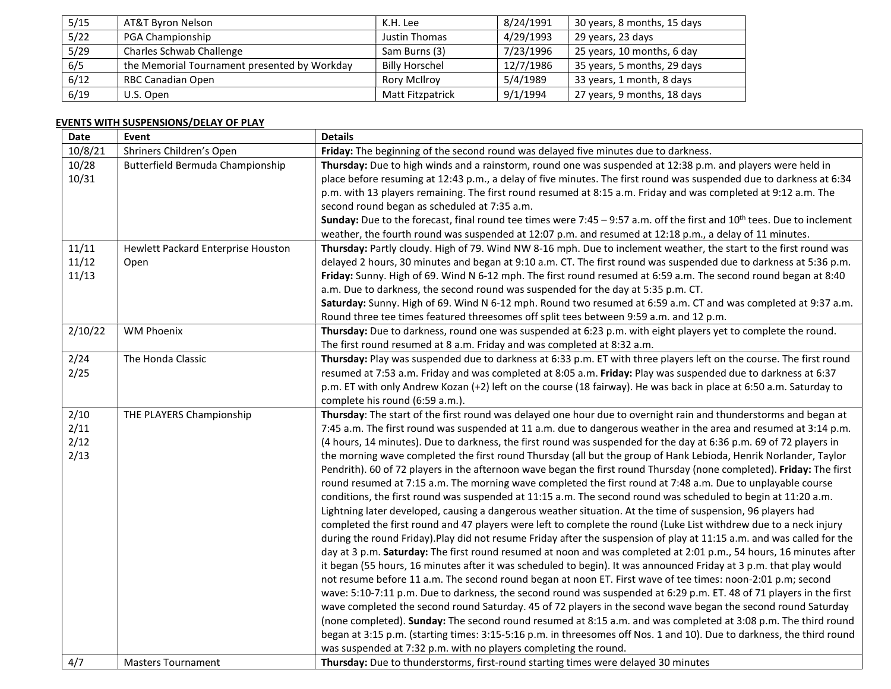| 5/15 | AT&T Byron Nelson                            | K.H. Lee              | 8/24/1991 | 30 years, 8 months, 15 days |
|------|----------------------------------------------|-----------------------|-----------|-----------------------------|
| 5/22 | PGA Championship                             | Justin Thomas         | 4/29/1993 | 29 years, 23 days           |
| 5/29 | Charles Schwab Challenge                     | Sam Burns (3)         | 7/23/1996 | 25 years, 10 months, 6 day  |
| 6/5  | the Memorial Tournament presented by Workday | <b>Billy Horschel</b> | 12/7/1986 | 35 years, 5 months, 29 days |
| 6/12 | <b>RBC Canadian Open</b>                     | <b>Rory McIlrov</b>   | 5/4/1989  | 33 years, 1 month, 8 days   |
| 6/19 | U.S. Open                                    | Matt Fitzpatrick      | 9/1/1994  | 27 years, 9 months, 18 days |

# EVENTS WITH SUSPENSIONS/DELAY OF PLAY

| <b>Date</b> | Event                              | <b>Details</b>                                                                                                                            |
|-------------|------------------------------------|-------------------------------------------------------------------------------------------------------------------------------------------|
| 10/8/21     | Shriners Children's Open           | Friday: The beginning of the second round was delayed five minutes due to darkness.                                                       |
| 10/28       | Butterfield Bermuda Championship   | Thursday: Due to high winds and a rainstorm, round one was suspended at 12:38 p.m. and players were held in                               |
| 10/31       |                                    | place before resuming at 12:43 p.m., a delay of five minutes. The first round was suspended due to darkness at 6:34                       |
|             |                                    | p.m. with 13 players remaining. The first round resumed at 8:15 a.m. Friday and was completed at 9:12 a.m. The                            |
|             |                                    | second round began as scheduled at 7:35 a.m.                                                                                              |
|             |                                    | <b>Sunday:</b> Due to the forecast, final round tee times were 7:45 – 9:57 a.m. off the first and 10 <sup>th</sup> tees. Due to inclement |
|             |                                    | weather, the fourth round was suspended at 12:07 p.m. and resumed at 12:18 p.m., a delay of 11 minutes.                                   |
| 11/11       | Hewlett Packard Enterprise Houston | Thursday: Partly cloudy. High of 79. Wind NW 8-16 mph. Due to inclement weather, the start to the first round was                         |
| 11/12       | Open                               | delayed 2 hours, 30 minutes and began at 9:10 a.m. CT. The first round was suspended due to darkness at 5:36 p.m.                         |
| 11/13       |                                    | Friday: Sunny. High of 69. Wind N 6-12 mph. The first round resumed at 6:59 a.m. The second round began at 8:40                           |
|             |                                    | a.m. Due to darkness, the second round was suspended for the day at 5:35 p.m. CT.                                                         |
|             |                                    | Saturday: Sunny. High of 69. Wind N 6-12 mph. Round two resumed at 6:59 a.m. CT and was completed at 9:37 a.m.                            |
|             |                                    | Round three tee times featured threesomes off split tees between 9:59 a.m. and 12 p.m.                                                    |
| 2/10/22     | <b>WM Phoenix</b>                  | Thursday: Due to darkness, round one was suspended at 6:23 p.m. with eight players yet to complete the round.                             |
|             |                                    | The first round resumed at 8 a.m. Friday and was completed at 8:32 a.m.                                                                   |
| 2/24        | The Honda Classic                  | Thursday: Play was suspended due to darkness at 6:33 p.m. ET with three players left on the course. The first round                       |
| 2/25        |                                    | resumed at 7:53 a.m. Friday and was completed at 8:05 a.m. Friday: Play was suspended due to darkness at 6:37                             |
|             |                                    | p.m. ET with only Andrew Kozan (+2) left on the course (18 fairway). He was back in place at 6:50 a.m. Saturday to                        |
|             |                                    | complete his round (6:59 a.m.).                                                                                                           |
| 2/10        | THE PLAYERS Championship           | Thursday: The start of the first round was delayed one hour due to overnight rain and thunderstorms and began at                          |
| 2/11        |                                    | 7:45 a.m. The first round was suspended at 11 a.m. due to dangerous weather in the area and resumed at 3:14 p.m.                          |
| 2/12        |                                    | (4 hours, 14 minutes). Due to darkness, the first round was suspended for the day at 6:36 p.m. 69 of 72 players in                        |
| 2/13        |                                    | the morning wave completed the first round Thursday (all but the group of Hank Lebioda, Henrik Norlander, Taylor                          |
|             |                                    | Pendrith). 60 of 72 players in the afternoon wave began the first round Thursday (none completed). Friday: The first                      |
|             |                                    | round resumed at 7:15 a.m. The morning wave completed the first round at 7:48 a.m. Due to unplayable course                               |
|             |                                    | conditions, the first round was suspended at 11:15 a.m. The second round was scheduled to begin at 11:20 a.m.                             |
|             |                                    | Lightning later developed, causing a dangerous weather situation. At the time of suspension, 96 players had                               |
|             |                                    | completed the first round and 47 players were left to complete the round (Luke List withdrew due to a neck injury                         |
|             |                                    | during the round Friday).Play did not resume Friday after the suspension of play at 11:15 a.m. and was called for the                     |
|             |                                    | day at 3 p.m. Saturday: The first round resumed at noon and was completed at 2:01 p.m., 54 hours, 16 minutes after                        |
|             |                                    | it began (55 hours, 16 minutes after it was scheduled to begin). It was announced Friday at 3 p.m. that play would                        |
|             |                                    | not resume before 11 a.m. The second round began at noon ET. First wave of tee times: noon-2:01 p.m; second                               |
|             |                                    | wave: 5:10-7:11 p.m. Due to darkness, the second round was suspended at 6:29 p.m. ET. 48 of 71 players in the first                       |
|             |                                    | wave completed the second round Saturday. 45 of 72 players in the second wave began the second round Saturday                             |
|             |                                    | (none completed). Sunday: The second round resumed at 8:15 a.m. and was completed at 3:08 p.m. The third round                            |
|             |                                    | began at 3:15 p.m. (starting times: 3:15-5:16 p.m. in threesomes off Nos. 1 and 10). Due to darkness, the third round                     |
|             |                                    | was suspended at 7:32 p.m. with no players completing the round.                                                                          |
| 4/7         | <b>Masters Tournament</b>          | Thursday: Due to thunderstorms, first-round starting times were delayed 30 minutes                                                        |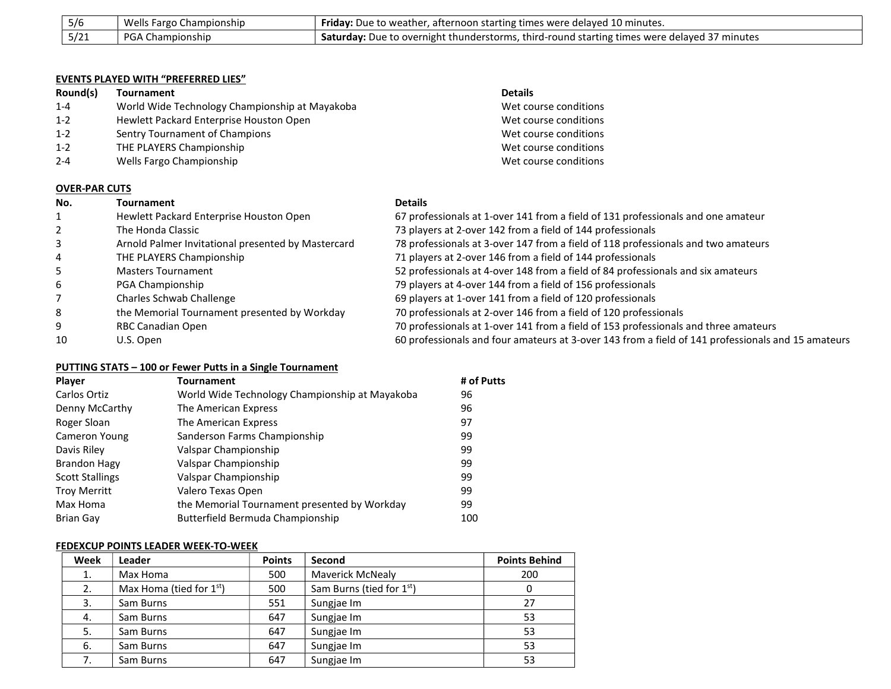| 5/6  | Wells Fargo Championship | <b>Friday:</b> Due to weather, afternoon starting times were delayed 10 minutes.                    |
|------|--------------------------|-----------------------------------------------------------------------------------------------------|
| 5/21 | <b>PGA Championship</b>  | <b>Saturday:</b> Due to overnight thunderstorms, third-round starting times were delayed 37 minutes |

#### EVENTS PLAYED WITH "PREFERRED LIES"

| Round(s) | <b>Tournament</b>                              | <b>Details</b>        |  |  |  |
|----------|------------------------------------------------|-----------------------|--|--|--|
| $1 - 4$  | World Wide Technology Championship at Mayakoba | Wet course conditions |  |  |  |
| $1 - 2$  | Hewlett Packard Enterprise Houston Open        | Wet course conditions |  |  |  |
| $1 - 2$  | Sentry Tournament of Champions                 | Wet course conditions |  |  |  |
| $1 - 2$  | THE PLAYERS Championship                       | Wet course conditions |  |  |  |
| $2 - 4$  | Wells Fargo Championship                       | Wet course conditions |  |  |  |
|          |                                                |                       |  |  |  |
|          | <b>OVER-PAR CUTS</b>                           |                       |  |  |  |

| No. | <b>Tournament</b>                                  | <b>Details</b>                                                                                     |
|-----|----------------------------------------------------|----------------------------------------------------------------------------------------------------|
|     | Hewlett Packard Enterprise Houston Open            | 67 professionals at 1-over 141 from a field of 131 professionals and one amateur                   |
|     | The Honda Classic                                  | 73 players at 2-over 142 from a field of 144 professionals                                         |
| 3   | Arnold Palmer Invitational presented by Mastercard | 78 professionals at 3-over 147 from a field of 118 professionals and two amateurs                  |
| 4   | THE PLAYERS Championship                           | 71 players at 2-over 146 from a field of 144 professionals                                         |
| 5   | Masters Tournament                                 | 52 professionals at 4-over 148 from a field of 84 professionals and six amateurs                   |
| 6   | PGA Championship                                   | 79 players at 4-over 144 from a field of 156 professionals                                         |
|     | Charles Schwab Challenge                           | 69 players at 1-over 141 from a field of 120 professionals                                         |
| 8   | the Memorial Tournament presented by Workday       | 70 professionals at 2-over 146 from a field of 120 professionals                                   |
| 9   | RBC Canadian Open                                  | 70 professionals at 1-over 141 from a field of 153 professionals and three amateurs                |
| 10  | U.S. Open                                          | 60 professionals and four amateurs at 3-over 143 from a field of 141 professionals and 15 amateurs |

## PUTTING STATS – 100 or Fewer Putts in a Single Tournament

| <b>Player</b>          | Tournament                                     | # of Putts |
|------------------------|------------------------------------------------|------------|
| Carlos Ortiz           | World Wide Technology Championship at Mayakoba | 96         |
| Denny McCarthy         | The American Express                           | 96         |
| Roger Sloan            | The American Express                           | 97         |
| Cameron Young          | Sanderson Farms Championship                   | 99         |
| Davis Riley            | Valspar Championship                           | 99         |
| <b>Brandon Hagy</b>    | Valspar Championship                           | 99         |
| <b>Scott Stallings</b> | Valspar Championship                           | 99         |
| <b>Troy Merritt</b>    | Valero Texas Open                              | 99         |
| Max Homa               | the Memorial Tournament presented by Workday   | 99         |
| <b>Brian Gay</b>       | Butterfield Bermuda Championship               | 100        |

## FEDEXCUP POINTS LEADER WEEK-TO-WEEK

| Week | Leader                     | <b>Points</b> | Second                   | <b>Points Behind</b> |
|------|----------------------------|---------------|--------------------------|----------------------|
| 1.   | Max Homa                   | 500           | <b>Maverick McNealy</b>  | 200                  |
| 2.   | Max Homa (tied for $1st$ ) | 500           | Sam Burns (tied for 1st) |                      |
| 3.   | Sam Burns                  | 551           | Sungjae Im               | 27                   |
| 4.   | Sam Burns                  | 647           | Sungjae Im               | 53                   |
| 5.   | Sam Burns                  | 647           | Sungjae Im               | 53                   |
| 6.   | Sam Burns                  | 647           | Sungjae Im               | 53                   |
| 7.   | Sam Burns                  | 647           | Sungjae Im               | 53                   |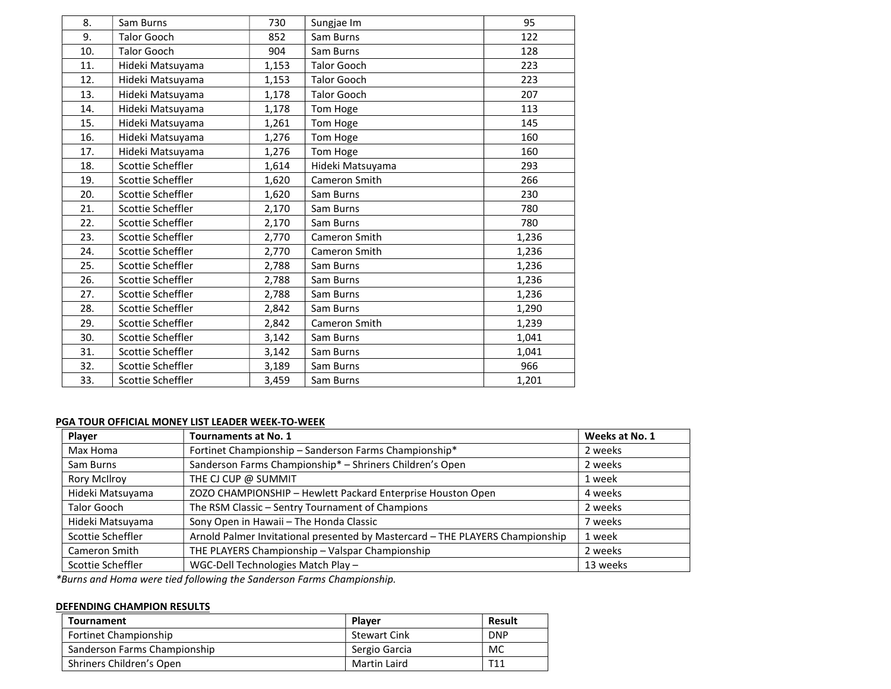| 8.  | Sam Burns          | 730   | Sungjae Im         | 95    |
|-----|--------------------|-------|--------------------|-------|
| 9.  | <b>Talor Gooch</b> | 852   | Sam Burns          | 122   |
| 10. | <b>Talor Gooch</b> | 904   | Sam Burns          | 128   |
| 11. | Hideki Matsuyama   | 1,153 | <b>Talor Gooch</b> | 223   |
| 12. | Hideki Matsuyama   | 1,153 | <b>Talor Gooch</b> | 223   |
| 13. | Hideki Matsuyama   | 1,178 | <b>Talor Gooch</b> | 207   |
| 14. | Hideki Matsuyama   | 1,178 | Tom Hoge           | 113   |
| 15. | Hideki Matsuyama   | 1,261 | Tom Hoge           | 145   |
| 16. | Hideki Matsuyama   | 1,276 | Tom Hoge           | 160   |
| 17. | Hideki Matsuyama   | 1,276 | Tom Hoge           | 160   |
| 18. | Scottie Scheffler  | 1,614 | Hideki Matsuyama   | 293   |
| 19. | Scottie Scheffler  | 1,620 | Cameron Smith      | 266   |
| 20. | Scottie Scheffler  | 1,620 | Sam Burns          | 230   |
| 21. | Scottie Scheffler  | 2,170 | Sam Burns          | 780   |
| 22. | Scottie Scheffler  | 2,170 | Sam Burns          | 780   |
| 23. | Scottie Scheffler  | 2,770 | Cameron Smith      | 1,236 |
| 24. | Scottie Scheffler  | 2,770 | Cameron Smith      | 1,236 |
| 25. | Scottie Scheffler  | 2,788 | Sam Burns          | 1,236 |
| 26. | Scottie Scheffler  | 2,788 | Sam Burns          | 1,236 |
| 27. | Scottie Scheffler  | 2,788 | Sam Burns          | 1,236 |
| 28. | Scottie Scheffler  | 2,842 | Sam Burns          | 1,290 |
| 29. | Scottie Scheffler  | 2,842 | Cameron Smith      | 1,239 |
| 30. | Scottie Scheffler  | 3,142 | Sam Burns          | 1,041 |
| 31. | Scottie Scheffler  | 3,142 | Sam Burns          | 1,041 |
| 32. | Scottie Scheffler  | 3,189 | Sam Burns          | 966   |
| 33. | Scottie Scheffler  | 3,459 | Sam Burns          | 1,201 |
|     |                    |       |                    |       |

## PGA TOUR OFFICIAL MONEY LIST LEADER WEEK-TO-WEEK

| Player              | <b>Tournaments at No. 1</b>                                                   | Weeks at No. 1 |
|---------------------|-------------------------------------------------------------------------------|----------------|
| Max Homa            | Fortinet Championship - Sanderson Farms Championship*                         | 2 weeks        |
| Sam Burns           | Sanderson Farms Championship* - Shriners Children's Open                      | 2 weeks        |
| <b>Rory McIlroy</b> | THE CJ CUP @ SUMMIT                                                           | 1 week         |
| Hideki Matsuyama    | ZOZO CHAMPIONSHIP - Hewlett Packard Enterprise Houston Open                   | 4 weeks        |
| <b>Talor Gooch</b>  | The RSM Classic - Sentry Tournament of Champions                              | 2 weeks        |
| Hideki Matsuyama    | Sony Open in Hawaii - The Honda Classic                                       | 7 weeks        |
| Scottie Scheffler   | Arnold Palmer Invitational presented by Mastercard - THE PLAYERS Championship | 1 week         |
| Cameron Smith       | THE PLAYERS Championship - Valspar Championship                               | 2 weeks        |
| Scottie Scheffler   | WGC-Dell Technologies Match Play -                                            | 13 weeks       |

\*Burns and Homa were tied following the Sanderson Farms Championship.

### DEFENDING CHAMPION RESULTS

| Tournament                   | <b>Plaver</b>       | <b>Result</b> |
|------------------------------|---------------------|---------------|
| <b>Fortinet Championship</b> | <b>Stewart Cink</b> | <b>DNP</b>    |
| Sanderson Farms Championship | Sergio Garcia       | МC            |
| Shriners Children's Open     | Martin Laird        | T11           |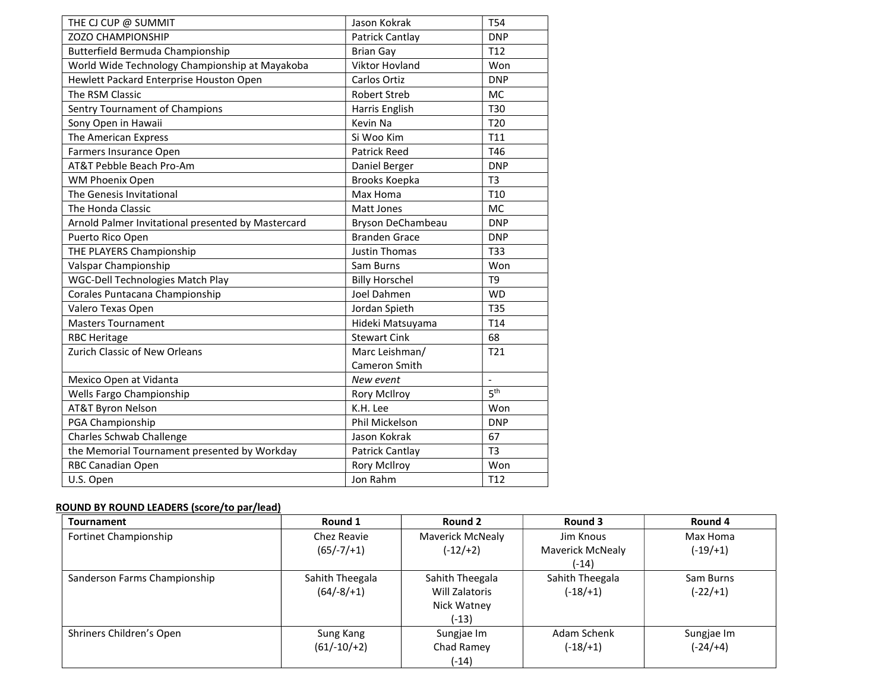| THE CJ CUP @ SUMMIT                                | Jason Kokrak          | <b>T54</b>      |
|----------------------------------------------------|-----------------------|-----------------|
| <b>ZOZO CHAMPIONSHIP</b>                           | Patrick Cantlay       | <b>DNP</b>      |
| Butterfield Bermuda Championship                   | <b>Brian Gay</b>      | T <sub>12</sub> |
| World Wide Technology Championship at Mayakoba     | Viktor Hovland        | Won             |
| Hewlett Packard Enterprise Houston Open            | Carlos Ortiz          | <b>DNP</b>      |
| The RSM Classic                                    | <b>Robert Streb</b>   | <b>MC</b>       |
| Sentry Tournament of Champions                     | Harris English        | T30             |
| Sony Open in Hawaii                                | Kevin Na              | T <sub>20</sub> |
| The American Express                               | Si Woo Kim            | T11             |
| Farmers Insurance Open                             | <b>Patrick Reed</b>   | T46             |
| AT&T Pebble Beach Pro-Am                           | Daniel Berger         | <b>DNP</b>      |
| WM Phoenix Open                                    | Brooks Koepka         | T <sub>3</sub>  |
| The Genesis Invitational                           | Max Homa              | T <sub>10</sub> |
| The Honda Classic                                  | Matt Jones            | <b>MC</b>       |
| Arnold Palmer Invitational presented by Mastercard | Bryson DeChambeau     | <b>DNP</b>      |
| Puerto Rico Open                                   | <b>Branden Grace</b>  | <b>DNP</b>      |
| THE PLAYERS Championship                           | <b>Justin Thomas</b>  | T33             |
| Valspar Championship                               | Sam Burns             | Won             |
| <b>WGC-Dell Technologies Match Play</b>            | <b>Billy Horschel</b> | T <sub>9</sub>  |
| Corales Puntacana Championship                     | Joel Dahmen           | <b>WD</b>       |
| Valero Texas Open                                  | Jordan Spieth         | <b>T35</b>      |
| <b>Masters Tournament</b>                          | Hideki Matsuyama      | T <sub>14</sub> |
| <b>RBC Heritage</b>                                | <b>Stewart Cink</b>   | 68              |
| Zurich Classic of New Orleans                      | Marc Leishman/        | T21             |
|                                                    | Cameron Smith         |                 |
| Mexico Open at Vidanta                             | New event             | $\overline{a}$  |
| Wells Fargo Championship                           | <b>Rory McIlroy</b>   | 5 <sup>th</sup> |
| <b>AT&amp;T Byron Nelson</b>                       | K.H. Lee              | Won             |
| PGA Championship                                   | Phil Mickelson        | <b>DNP</b>      |
| Charles Schwab Challenge                           | Jason Kokrak          | 67              |
| the Memorial Tournament presented by Workday       | Patrick Cantlay       | T <sub>3</sub>  |
| RBC Canadian Open                                  | <b>Rory McIlroy</b>   | Won             |
| U.S. Open                                          | Jon Rahm              | T <sub>12</sub> |

# ROUND BY ROUND LEADERS (score/to par/lead)

| Tournament                   | Round 1         | Round 2          | Round 3          | Round 4    |
|------------------------------|-----------------|------------------|------------------|------------|
| Fortinet Championship        | Chez Reavie     | Maverick McNealy | Jim Knous        | Max Homa   |
|                              | $(65/-7/+1)$    | $(-12/+2)$       | Maverick McNealy | $(-19/+1)$ |
|                              |                 |                  | (-14)            |            |
| Sanderson Farms Championship | Sahith Theegala | Sahith Theegala  | Sahith Theegala  | Sam Burns  |
|                              | $(64/-8/+1)$    | Will Zalatoris   | $(-18/1)$        | $(-22/+1)$ |
|                              |                 | Nick Watney      |                  |            |
|                              |                 | (-13)            |                  |            |
| Shriners Children's Open     | Sung Kang       | Sungjae Im       | Adam Schenk      | Sungjae Im |
|                              | $(61/-10/+2)$   | Chad Ramey       | $(-18/1)$        | $(-24/+4)$ |
|                              |                 | (-14)            |                  |            |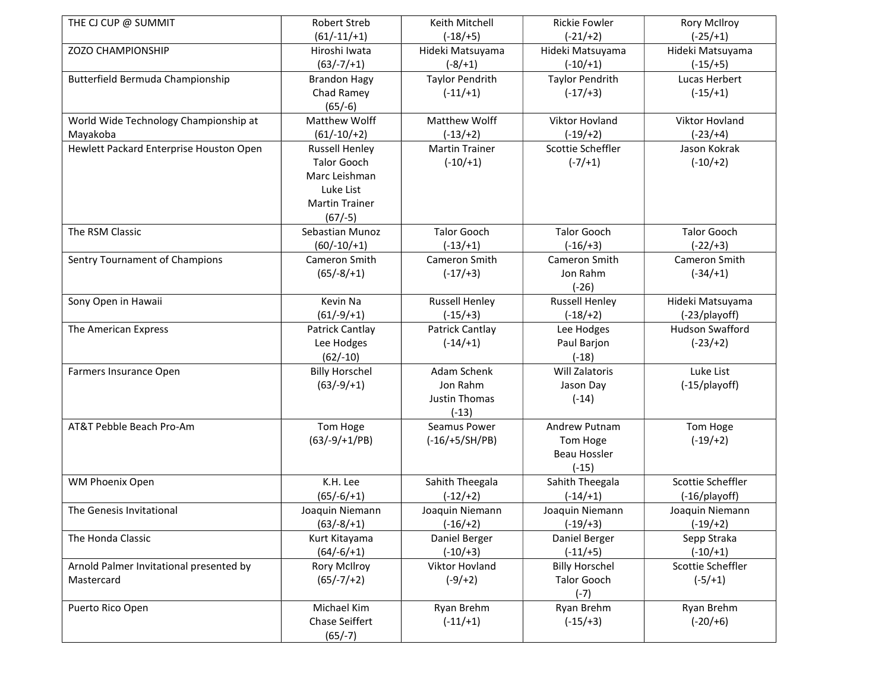| THE CJ CUP @ SUMMIT                     | <b>Robert Streb</b>   | Keith Mitchell         | <b>Rickie Fowler</b>   | <b>Rory McIlroy</b>    |
|-----------------------------------------|-----------------------|------------------------|------------------------|------------------------|
|                                         | $(61/-11/+1)$         | $(-18/ + 5)$           | $(-21/+2)$             | $(-25/ + 1)$           |
| ZOZO CHAMPIONSHIP                       | Hiroshi Iwata         | Hideki Matsuyama       | Hideki Matsuyama       | Hideki Matsuyama       |
|                                         | $(63/-7/+1)$          | $(-8/ + 1)$            | $(-10/+1)$             | $(-15/ + 5)$           |
| Butterfield Bermuda Championship        | <b>Brandon Hagy</b>   | <b>Taylor Pendrith</b> | <b>Taylor Pendrith</b> | Lucas Herbert          |
|                                         | Chad Ramey            | $(-11/+1)$             | $(-17/+3)$             | $(-15/ + 1)$           |
|                                         | $(65/-6)$             |                        |                        |                        |
| World Wide Technology Championship at   | Matthew Wolff         | Matthew Wolff          | Viktor Hovland         | Viktor Hovland         |
| Mayakoba                                | $(61/-10/+2)$         | $(-13/+2)$             | $(-19/+2)$             | $(-23/+4)$             |
| Hewlett Packard Enterprise Houston Open | <b>Russell Henley</b> | <b>Martin Trainer</b>  | Scottie Scheffler      | Jason Kokrak           |
|                                         | <b>Talor Gooch</b>    | $(-10/+1)$             | $(-7/ + 1)$            | $(-10/+2)$             |
|                                         | Marc Leishman         |                        |                        |                        |
|                                         | Luke List             |                        |                        |                        |
|                                         | <b>Martin Trainer</b> |                        |                        |                        |
|                                         | $(67/-5)$             |                        |                        |                        |
| The RSM Classic                         | Sebastian Munoz       | <b>Talor Gooch</b>     | <b>Talor Gooch</b>     | <b>Talor Gooch</b>     |
|                                         | $(60/-10/+1)$         | $(-13/+1)$             | $(-16/ + 3)$           | $(-22/+3)$             |
| Sentry Tournament of Champions          | Cameron Smith         | Cameron Smith          | Cameron Smith          | Cameron Smith          |
|                                         | $(65/-8/+1)$          | $(-17/ + 3)$           | Jon Rahm               | $(-34/ + 1)$           |
|                                         |                       |                        | $(-26)$                |                        |
| Sony Open in Hawaii                     | Kevin Na              | <b>Russell Henley</b>  | <b>Russell Henley</b>  | Hideki Matsuyama       |
|                                         | $(61/-9/+1)$          | $(-15/ + 3)$           | $(-18/ + 2)$           | (-23/playoff)          |
| The American Express                    | Patrick Cantlay       | Patrick Cantlay        | Lee Hodges             | <b>Hudson Swafford</b> |
|                                         | Lee Hodges            | $(-14/+1)$             | Paul Barjon            | $(-23/+2)$             |
|                                         | $(62/-10)$            |                        | $(-18)$                |                        |
| Farmers Insurance Open                  | <b>Billy Horschel</b> | Adam Schenk            | Will Zalatoris         | Luke List              |
|                                         | $(63/-9/+1)$          | Jon Rahm               | Jason Day              | (-15/playoff)          |
|                                         |                       | <b>Justin Thomas</b>   | $(-14)$                |                        |
|                                         |                       | $(-13)$                |                        |                        |
| AT&T Pebble Beach Pro-Am                | Tom Hoge              | Seamus Power           | Andrew Putnam          | Tom Hoge               |
|                                         | $(63/-9/+1/PB)$       | $(-16/+5/SH/PB)$       | Tom Hoge               | $(-19/ + 2)$           |
|                                         |                       |                        | <b>Beau Hossler</b>    |                        |
|                                         |                       |                        | $(-15)$                |                        |
| WM Phoenix Open                         | K.H. Lee              | Sahith Theegala        | Sahith Theegala        | Scottie Scheffler      |
|                                         | $(65/-6/+1)$          | $(-12/+2)$             | $(-14/+1)$             | (-16/playoff)          |
| The Genesis Invitational                | Joaquin Niemann       | Joaquin Niemann        | Joaquin Niemann        | Joaquin Niemann        |
|                                         | $(63/-8/+1)$          | $(-16/ + 2)$           | $(-19/ + 3)$           | (-19/+2)               |
| The Honda Classic                       | Kurt Kitayama         | Daniel Berger          | Daniel Berger          | Sepp Straka            |
|                                         | $(64/-6/+1)$          | $(-10/+3)$             | $(-11/+5)$             | $(-10/+1)$             |
| Arnold Palmer Invitational presented by | Rory McIlroy          | Viktor Hovland         | <b>Billy Horschel</b>  | Scottie Scheffler      |
| Mastercard                              | $(65/-7/+2)$          | $(-9/+2)$              | <b>Talor Gooch</b>     | $(-5/ + 1)$            |
|                                         |                       |                        | $(-7)$                 |                        |
| Puerto Rico Open                        | Michael Kim           | Ryan Brehm             | Ryan Brehm             | Ryan Brehm             |
|                                         | Chase Seiffert        | $(-11/+1)$             | $(-15/+3)$             | $(-20/+6)$             |
|                                         | $(65/-7)$             |                        |                        |                        |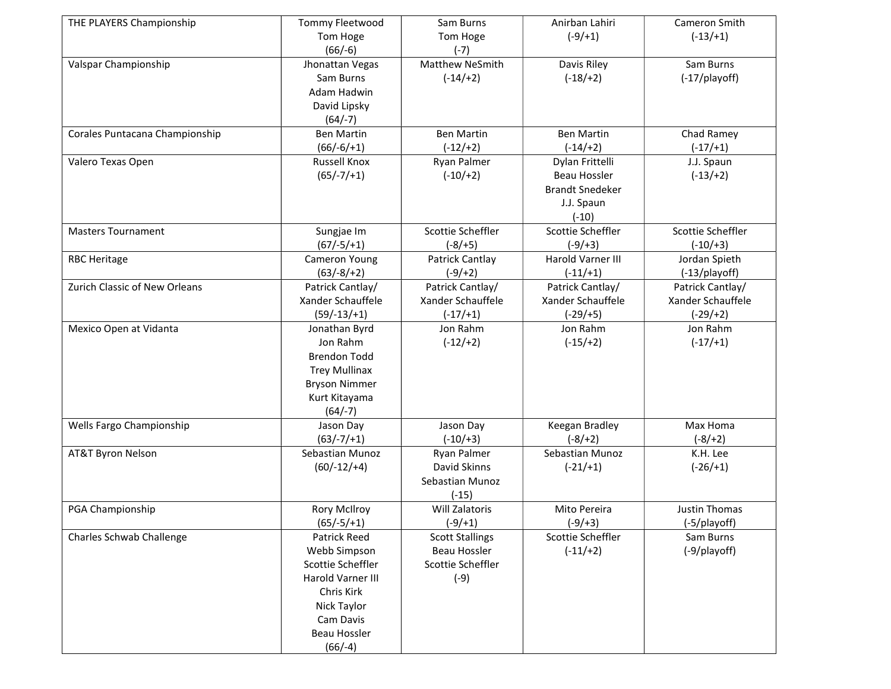| THE PLAYERS Championship       | Tommy Fleetwood      | Sam Burns              | Anirban Lahiri         | Cameron Smith     |
|--------------------------------|----------------------|------------------------|------------------------|-------------------|
|                                | Tom Hoge             | Tom Hoge               | $(-9/+1)$              | $(-13/+1)$        |
|                                | $(66/-6)$            | $(-7)$                 |                        |                   |
| Valspar Championship           | Jhonattan Vegas      | Matthew NeSmith        | Davis Riley            | Sam Burns         |
|                                | Sam Burns            | $(-14/ + 2)$           | $(-18/ + 2)$           | (-17/playoff)     |
|                                | Adam Hadwin          |                        |                        |                   |
|                                | David Lipsky         |                        |                        |                   |
|                                | $(64/-7)$            |                        |                        |                   |
| Corales Puntacana Championship | <b>Ben Martin</b>    | <b>Ben Martin</b>      | <b>Ben Martin</b>      | Chad Ramey        |
|                                | $(66/-6/+1)$         | $(-12/+2)$             | $(-14/+2)$             | $(-17/ + 1)$      |
| Valero Texas Open              | <b>Russell Knox</b>  | Ryan Palmer            | Dylan Frittelli        | J.J. Spaun        |
|                                | $(65/-7/+1)$         | $(-10/+2)$             | <b>Beau Hossler</b>    | $(-13/+2)$        |
|                                |                      |                        | <b>Brandt Snedeker</b> |                   |
|                                |                      |                        | J.J. Spaun             |                   |
|                                |                      |                        | $(-10)$                |                   |
| <b>Masters Tournament</b>      | Sungjae Im           | Scottie Scheffler      | Scottie Scheffler      | Scottie Scheffler |
|                                | $(67/-5/+1)$         | $(-8/+5)$              | $(-9/+3)$              | $(-10/+3)$        |
| <b>RBC Heritage</b>            | Cameron Young        | Patrick Cantlay        | Harold Varner III      | Jordan Spieth     |
|                                | $(63/-8/+2)$         | $(-9/+2)$              | $(-11/+1)$             | (-13/playoff)     |
| Zurich Classic of New Orleans  | Patrick Cantlay/     | Patrick Cantlay/       | Patrick Cantlay/       | Patrick Cantlay/  |
|                                | Xander Schauffele    | Xander Schauffele      | Xander Schauffele      | Xander Schauffele |
|                                | $(59/-13/+1)$        | $(-17/ + 1)$           | $(-29/+5)$             | $(-29/+2)$        |
| Mexico Open at Vidanta         | Jonathan Byrd        | Jon Rahm               | Jon Rahm               | Jon Rahm          |
|                                | Jon Rahm             | $(-12/+2)$             | $(-15/ + 2)$           | $(-17/ + 1)$      |
|                                | <b>Brendon Todd</b>  |                        |                        |                   |
|                                | <b>Trey Mullinax</b> |                        |                        |                   |
|                                | <b>Bryson Nimmer</b> |                        |                        |                   |
|                                | Kurt Kitayama        |                        |                        |                   |
|                                | $(64/-7)$            |                        |                        |                   |
| Wells Fargo Championship       | Jason Day            | Jason Day              | Keegan Bradley         | Max Homa          |
|                                | $(63/-7/+1)$         | $(-10/+3)$             | $(-8/ + 2)$            | $(-8/ + 2)$       |
| <b>AT&amp;T Byron Nelson</b>   | Sebastian Munoz      | Ryan Palmer            | Sebastian Munoz        | K.H. Lee          |
|                                | $(60/-12/+4)$        | David Skinns           | $(-21/+1)$             | $(-26/ + 1)$      |
|                                |                      | Sebastian Munoz        |                        |                   |
|                                |                      | $(-15)$                |                        |                   |
| PGA Championship               | <b>Rory McIlroy</b>  | <b>Will Zalatoris</b>  | Mito Pereira           | Justin Thomas     |
|                                | $(65/-5/+1)$         | $(-9/ + 1)$            | $(-9/+3)$              | (-5/playoff)      |
| Charles Schwab Challenge       | Patrick Reed         | <b>Scott Stallings</b> | Scottie Scheffler      | Sam Burns         |
|                                | Webb Simpson         | <b>Beau Hossler</b>    | $(-11/+2)$             | (-9/playoff)      |
|                                | Scottie Scheffler    | Scottie Scheffler      |                        |                   |
|                                | Harold Varner III    | $(-9)$                 |                        |                   |
|                                | Chris Kirk           |                        |                        |                   |
|                                | Nick Taylor          |                        |                        |                   |
|                                | Cam Davis            |                        |                        |                   |
|                                | Beau Hossler         |                        |                        |                   |
|                                | $(66/-4)$            |                        |                        |                   |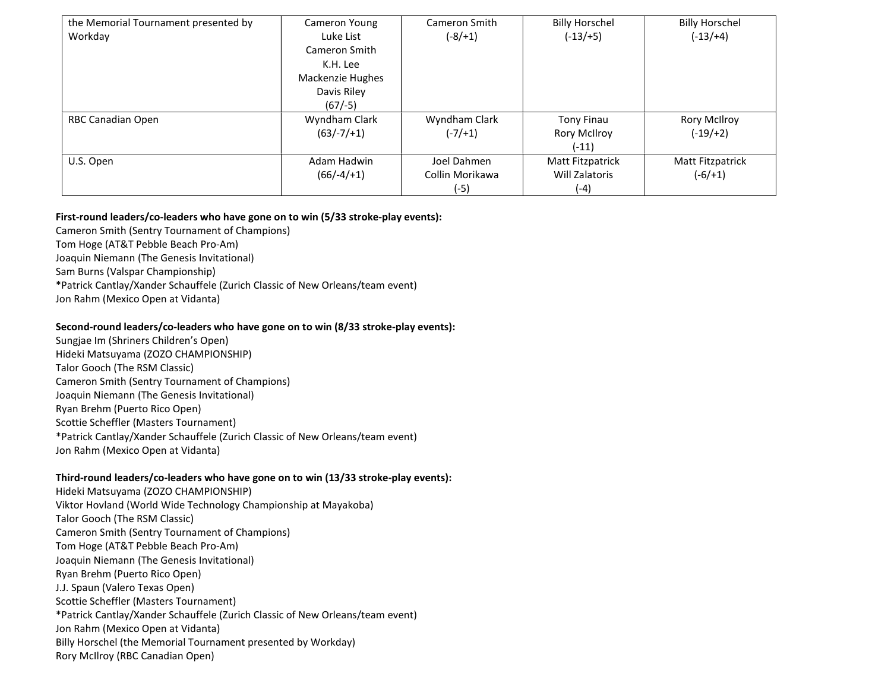| the Memorial Tournament presented by<br>Workday | Cameron Young<br>Luke List                                                | Cameron Smith<br>$(-8/1)$                | <b>Billy Horschel</b><br>$(-13/+5)$          | <b>Billy Horschel</b><br>$(-13/+4)$ |
|-------------------------------------------------|---------------------------------------------------------------------------|------------------------------------------|----------------------------------------------|-------------------------------------|
|                                                 | Cameron Smith<br>K.H. Lee<br>Mackenzie Hughes<br>Davis Riley<br>$(67/-5)$ |                                          |                                              |                                     |
| RBC Canadian Open                               | Wyndham Clark<br>$(63/-7/+1)$                                             | Wyndham Clark<br>$(-7/1)$                | <b>Tony Finau</b><br>Rory McIlroy<br>$(-11)$ | Rory McIlroy<br>$(-19/+2)$          |
| U.S. Open                                       | Adam Hadwin<br>$(66/-4/+1)$                                               | Joel Dahmen<br>Collin Morikawa<br>$(-5)$ | Matt Fitzpatrick<br>Will Zalatoris<br>(-4)   | Matt Fitzpatrick<br>$(-6/ + 1)$     |

## First-round leaders/co-leaders who have gone on to win (5/33 stroke-play events):

Cameron Smith (Sentry Tournament of Champions) Tom Hoge (AT&T Pebble Beach Pro-Am)

Joaquin Niemann (The Genesis Invitational)

Sam Burns (Valspar Championship)

\*Patrick Cantlay/Xander Schauffele (Zurich Classic of New Orleans/team event)

Jon Rahm (Mexico Open at Vidanta)

### Second-round leaders/co-leaders who have gone on to win (8/33 stroke-play events):

Sungjae Im (Shriners Children's Open) Hideki Matsuyama (ZOZO CHAMPIONSHIP) Talor Gooch (The RSM Classic) Cameron Smith (Sentry Tournament of Champions) Joaquin Niemann (The Genesis Invitational) Ryan Brehm (Puerto Rico Open) Scottie Scheffler (Masters Tournament) \*Patrick Cantlay/Xander Schauffele (Zurich Classic of New Orleans/team event) Jon Rahm (Mexico Open at Vidanta)

### Third-round leaders/co-leaders who have gone on to win (13/33 stroke-play events):

Hideki Matsuyama (ZOZO CHAMPIONSHIP) Viktor Hovland (World Wide Technology Championship at Mayakoba) Talor Gooch (The RSM Classic) Cameron Smith (Sentry Tournament of Champions) Tom Hoge (AT&T Pebble Beach Pro-Am) Joaquin Niemann (The Genesis Invitational) Ryan Brehm (Puerto Rico Open) J.J. Spaun (Valero Texas Open) Scottie Scheffler (Masters Tournament) \*Patrick Cantlay/Xander Schauffele (Zurich Classic of New Orleans/team event) Jon Rahm (Mexico Open at Vidanta) Billy Horschel (the Memorial Tournament presented by Workday) Rory McIlroy (RBC Canadian Open)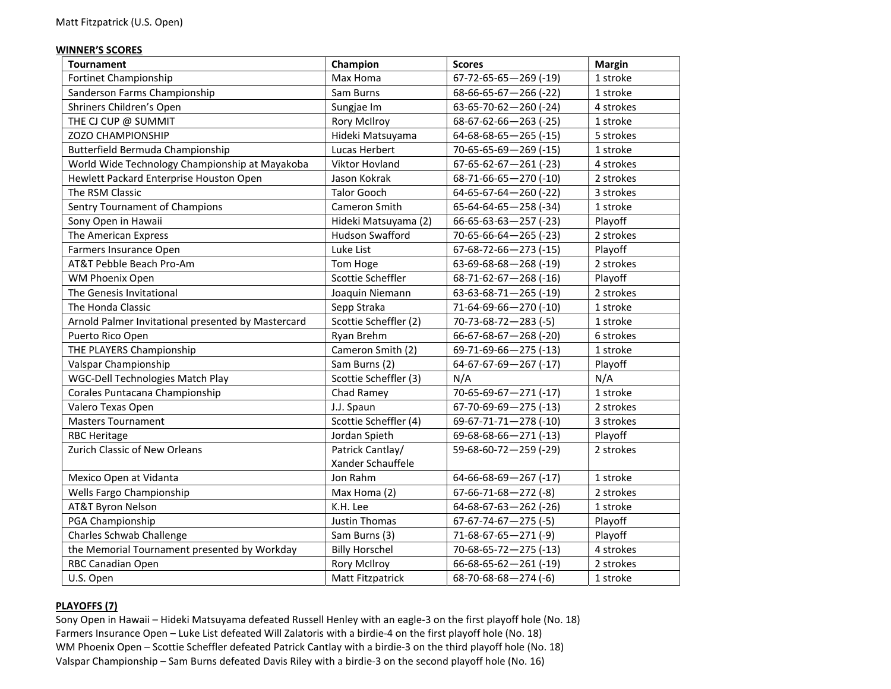### WINNER'S SCORES

| <b>Tournament</b>                                  | Champion                | <b>Scores</b>                   | <b>Margin</b> |
|----------------------------------------------------|-------------------------|---------------------------------|---------------|
| <b>Fortinet Championship</b>                       | Max Homa                | $67 - 72 - 65 - 65 - 269$ (-19) | 1 stroke      |
| Sanderson Farms Championship                       | Sam Burns               | $68-66-65-67-266$ (-22)         | 1 stroke      |
| Shriners Children's Open                           | Sungjae Im              | $63 - 65 - 70 - 62 - 260$ (-24) | 4 strokes     |
| THE CJ CUP @ SUMMIT                                | <b>Rory McIlroy</b>     | 68-67-62-66-263 (-25)           | 1 stroke      |
| <b>ZOZO CHAMPIONSHIP</b>                           | Hideki Matsuyama        | $64 - 68 - 68 - 65 - 265$ (-15) | 5 strokes     |
| Butterfield Bermuda Championship                   | Lucas Herbert           | 70-65-65-69-269 (-15)           | 1 stroke      |
| World Wide Technology Championship at Mayakoba     | Viktor Hovland          | $67 - 65 - 62 - 67 - 261$ (-23) | 4 strokes     |
| Hewlett Packard Enterprise Houston Open            | Jason Kokrak            | 68-71-66-65-270 (-10)           | 2 strokes     |
| The RSM Classic                                    | <b>Talor Gooch</b>      | $64 - 65 - 67 - 64 - 260$ (-22) | 3 strokes     |
| Sentry Tournament of Champions                     | Cameron Smith           | $65 - 64 - 64 - 65 - 258$ (-34) | 1 stroke      |
| Sony Open in Hawaii                                | Hideki Matsuyama (2)    | $66 - 65 - 63 - 63 - 257$ (-23) | Playoff       |
| The American Express                               | <b>Hudson Swafford</b>  | $70 - 65 - 66 - 64 - 265$ (-23) | 2 strokes     |
| Farmers Insurance Open                             | Luke List               | 67-68-72-66-273 (-15)           | Playoff       |
| AT&T Pebble Beach Pro-Am                           | Tom Hoge                | 63-69-68-68-268 (-19)           | 2 strokes     |
| WM Phoenix Open                                    | Scottie Scheffler       | 68-71-62-67-268 (-16)           | Playoff       |
| The Genesis Invitational                           | Joaquin Niemann         | $63-63-68-71-265$ (-19)         | 2 strokes     |
| The Honda Classic                                  | Sepp Straka             | 71-64-69-66-270 (-10)           | 1 stroke      |
| Arnold Palmer Invitational presented by Mastercard | Scottie Scheffler (2)   | $70 - 73 - 68 - 72 - 283$ (-5)  | 1 stroke      |
| Puerto Rico Open                                   | Ryan Brehm              | 66-67-68-67-268 (-20)           | 6 strokes     |
| THE PLAYERS Championship                           | Cameron Smith (2)       | 69-71-69-66-275 (-13)           | 1 stroke      |
| Valspar Championship                               | Sam Burns (2)           | 64-67-67-69-267 (-17)           | Playoff       |
| WGC-Dell Technologies Match Play                   | Scottie Scheffler (3)   | N/A                             | N/A           |
| Corales Puntacana Championship                     | Chad Ramey              | 70-65-69-67-271 (-17)           | 1 stroke      |
| Valero Texas Open                                  | J.J. Spaun              | $67 - 70 - 69 - 69 - 275$ (-13) | 2 strokes     |
| <b>Masters Tournament</b>                          | Scottie Scheffler (4)   | 69-67-71-71-278 (-10)           | 3 strokes     |
| <b>RBC Heritage</b>                                | Jordan Spieth           | 69-68-68-66-271 (-13)           | Playoff       |
| Zurich Classic of New Orleans                      | Patrick Cantlay/        | 59-68-60-72-259 (-29)           | 2 strokes     |
|                                                    | Xander Schauffele       |                                 |               |
| Mexico Open at Vidanta                             | Jon Rahm                | $64-66-68-69-267$ (-17)         | 1 stroke      |
| Wells Fargo Championship                           | Max Homa (2)            | $67-66-71-68-272$ (-8)          | 2 strokes     |
| <b>AT&amp;T Byron Nelson</b>                       | K.H. Lee                | $64 - 68 - 67 - 63 - 262$ (-26) | 1 stroke      |
| PGA Championship                                   | Justin Thomas           | $67 - 67 - 74 - 67 - 275$ (-5)  | Playoff       |
| Charles Schwab Challenge                           | Sam Burns (3)           | $71-68-67-65-271(-9)$           | Playoff       |
| the Memorial Tournament presented by Workday       | <b>Billy Horschel</b>   | $70 - 68 - 65 - 72 - 275$ (-13) | 4 strokes     |
| RBC Canadian Open                                  | <b>Rory McIlroy</b>     | $66 - 68 - 65 - 62 - 261$ (-19) | 2 strokes     |
| U.S. Open                                          | <b>Matt Fitzpatrick</b> | $68 - 70 - 68 - 68 - 274$ (-6)  | 1 stroke      |

# PLAYOFFS (7)

Sony Open in Hawaii – Hideki Matsuyama defeated Russell Henley with an eagle-3 on the first playoff hole (No. 18) Farmers Insurance Open – Luke List defeated Will Zalatoris with a birdie-4 on the first playoff hole (No. 18) WM Phoenix Open – Scottie Scheffler defeated Patrick Cantlay with a birdie-3 on the third playoff hole (No. 18) Valspar Championship – Sam Burns defeated Davis Riley with a birdie-3 on the second playoff hole (No. 16)